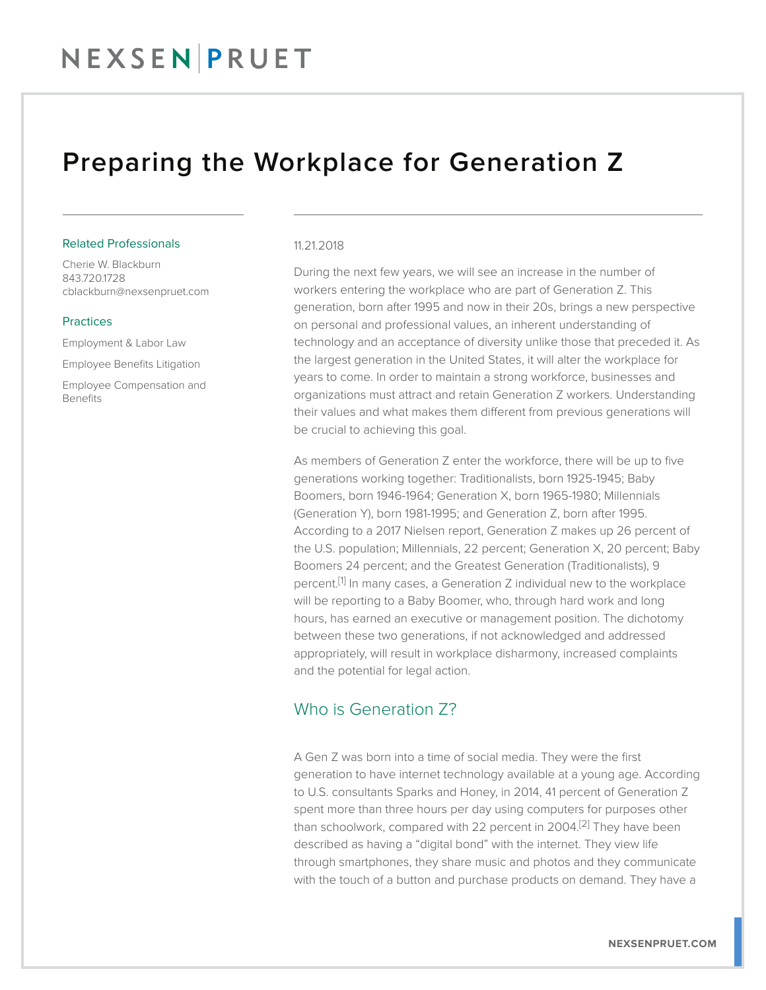### Preparing the Workplace for Generation Z

#### Related Professionals

Cherie W. Blackburn 843.720.1728 cblackburn@nexsenpruet.com

#### **Practices**

Employment & Labor Law

Employee Benefits Litigation

Employee Compensation and Benefits

#### 11.21.2018

During the next few years, we will see an increase in the number of workers entering the workplace who are part of Generation Z. This generation, born after 1995 and now in their 20s, brings a new perspective on personal and professional values, an inherent understanding of technology and an acceptance of diversity unlike those that preceded it. As the largest generation in the United States, it will alter the workplace for years to come. In order to maintain a strong workforce, businesses and organizations must attract and retain Generation Z workers. Understanding their values and what makes them different from previous generations will be crucial to achieving this goal.

As members of Generation Z enter the workforce, there will be up to five generations working together: Traditionalists, born 1925-1945; Baby Boomers, born 1946-1964; Generation X, born 1965-1980; Millennials (Generation Y), born 1981-1995; and Generation Z, born after 1995. According to a 2017 Nielsen report, Generation Z makes up 26 percent of the U.S. population; Millennials, 22 percent; Generation X, 20 percent; Baby Boomers 24 percent; and the Greatest Generation (Traditionalists), 9 percent.<sup>[1]</sup> In many cases, a Generation Z individual new to the workplace will be reporting to a Baby Boomer, who, through hard work and long hours, has earned an executive or management position. The dichotomy between these two generations, if not acknowledged and addressed appropriately, will result in workplace disharmony, increased complaints and the potential for legal action.

### Who is Generation Z?

A Gen Z was born into a time of social media. They were the first generation to have internet technology available at a young age. According to U.S. consultants Sparks and Honey, in 2014, 41 percent of Generation Z spent more than three hours per day using computers for purposes other than schoolwork, compared with 22 percent in 2004.<sup>[2]</sup> They have been described as having a "digital bond" with the internet. They view life through smartphones, they share music and photos and they communicate with the touch of a button and purchase products on demand. They have a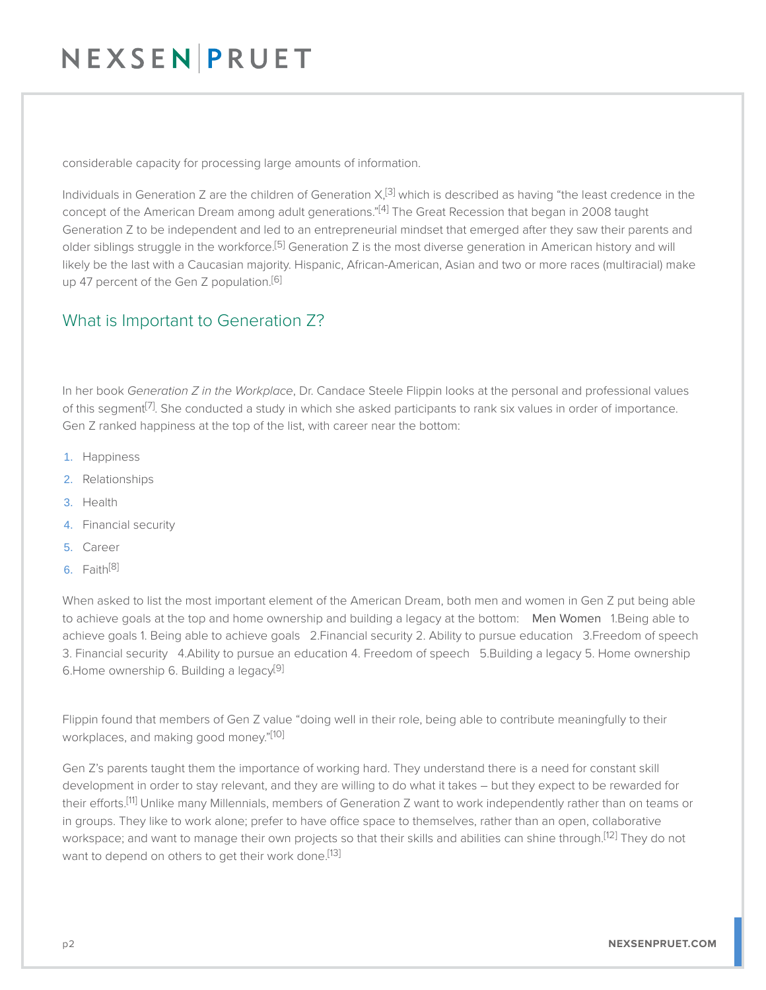## NEXSENPRUET

considerable capacity for processing large amounts of information.

Individuals in Generation Z are the children of Generation  $X^{[3]}$  which is described as having "the least credence in the concept of the American Dream among adult generations."[4] The Great Recession that began in 2008 taught Generation Z to be independent and led to an entrepreneurial mindset that emerged after they saw their parents and older siblings struggle in the workforce.<sup>[5]</sup> Generation Z is the most diverse generation in American history and will likely be the last with a Caucasian majority. Hispanic, African-American, Asian and two or more races (multiracial) make up 47 percent of the Gen Z population.<sup>[6]</sup>

### What is Important to Generation Z?

In her book *Generation Z in the Workplace*, Dr. Candace Steele Flippin looks at the personal and professional values of this segment[7]. She conducted a study in which she asked participants to rank six values in order of importance. Gen Z ranked happiness at the top of the list, with career near the bottom:

- 1. Happiness
- 2. Relationships
- 3. Health
- 4. Financial security
- 5. Career
- 6. Faith[8]

When asked to list the most important element of the American Dream, both men and women in Gen Z put being able to achieve goals at the top and home ownership and building a legacy at the bottom: Men Women 1.Being able to achieve goals 1. Being able to achieve goals 2.Financial security 2. Ability to pursue education 3.Freedom of speech 3. Financial security 4.Ability to pursue an education 4. Freedom of speech 5.Building a legacy 5. Home ownership 6.Home ownership 6. Building a legacy<sup>[9]</sup>

Flippin found that members of Gen Z value "doing well in their role, being able to contribute meaningfully to their workplaces, and making good money."[10]

Gen Z's parents taught them the importance of working hard. They understand there is a need for constant skill development in order to stay relevant, and they are willing to do what it takes – but they expect to be rewarded for their efforts.<sup>[11]</sup> Unlike many Millennials, members of Generation Z want to work independently rather than on teams or in groups. They like to work alone; prefer to have office space to themselves, rather than an open, collaborative workspace; and want to manage their own projects so that their skills and abilities can shine through.<sup>[12]</sup> They do not want to depend on others to get their work done.<sup>[13]</sup>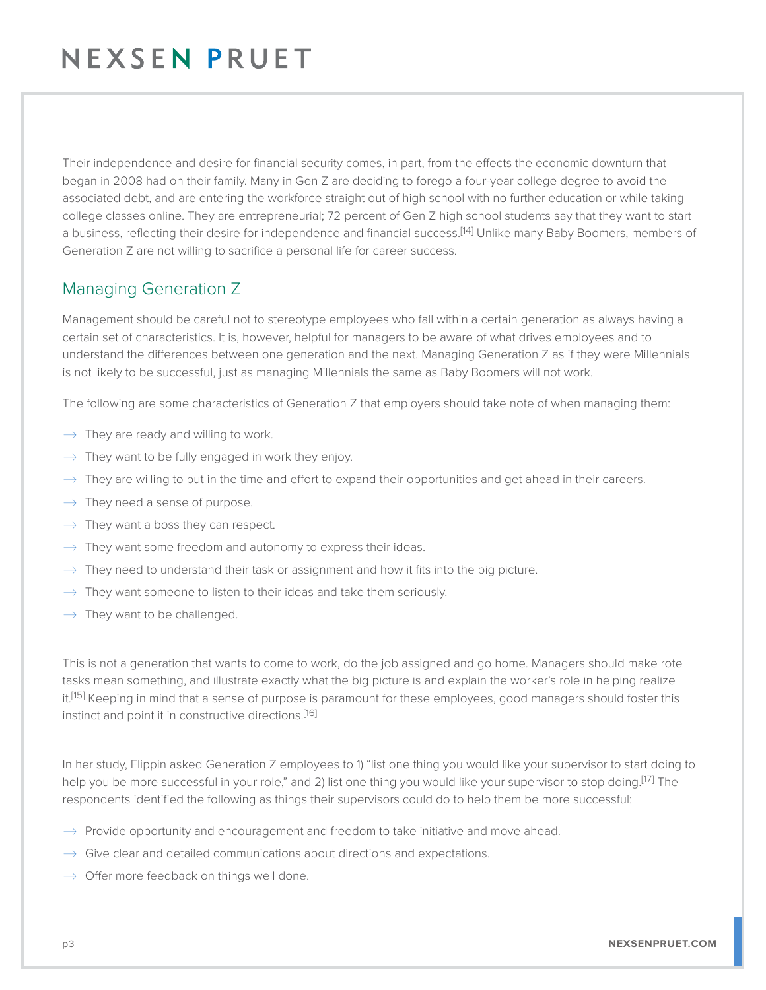## NEXSENPRUET

Their independence and desire for financial security comes, in part, from the effects the economic downturn that began in 2008 had on their family. Many in Gen Z are deciding to forego a four-year college degree to avoid the associated debt, and are entering the workforce straight out of high school with no further education or while taking college classes online. They are entrepreneurial; 72 percent of Gen Z high school students say that they want to start a business, reflecting their desire for independence and financial success.<sup>[14]</sup> Unlike many Baby Boomers, members of Generation Z are not willing to sacrifice a personal life for career success.

### Managing Generation Z

Management should be careful not to stereotype employees who fall within a certain generation as always having a certain set of characteristics. It is, however, helpful for managers to be aware of what drives employees and to understand the differences between one generation and the next. Managing Generation Z as if they were Millennials is not likely to be successful, just as managing Millennials the same as Baby Boomers will not work.

The following are some characteristics of Generation Z that employers should take note of when managing them:

- $\rightarrow$  They are ready and willing to work.
- $\rightarrow$  They want to be fully engaged in work they enjoy.
- $\rightarrow$  They are willing to put in the time and effort to expand their opportunities and get ahead in their careers.
- $\rightarrow$  They need a sense of purpose.
- $\rightarrow$  They want a boss they can respect.
- $\rightarrow$  They want some freedom and autonomy to express their ideas.
- $\rightarrow$  They need to understand their task or assignment and how it fits into the big picture.
- $\rightarrow$  They want someone to listen to their ideas and take them seriously.
- $\rightarrow$  They want to be challenged.

This is not a generation that wants to come to work, do the job assigned and go home. Managers should make rote tasks mean something, and illustrate exactly what the big picture is and explain the worker's role in helping realize it.<sup>[15]</sup> Keeping in mind that a sense of purpose is paramount for these employees, good managers should foster this instinct and point it in constructive directions.[16]

In her study, Flippin asked Generation Z employees to 1) "list one thing you would like your supervisor to start doing to help you be more successful in your role," and 2) list one thing you would like your supervisor to stop doing.<sup>[17]</sup> The respondents identified the following as things their supervisors could do to help them be more successful:

- $\rightarrow$  Provide opportunity and encouragement and freedom to take initiative and move ahead.
- $\rightarrow$  Give clear and detailed communications about directions and expectations.
- $\rightarrow$  Offer more feedback on things well done.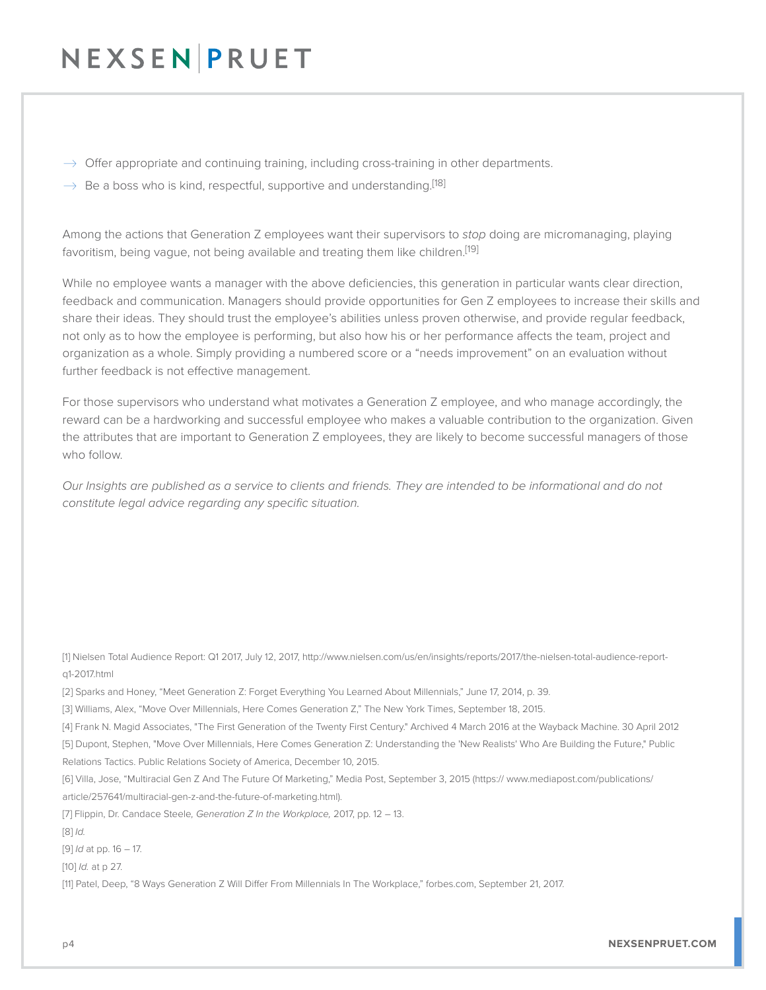## NEXSEN PRUET

- $\rightarrow$  Offer appropriate and continuing training, including cross-training in other departments.
- $\rightarrow$  Be a boss who is kind, respectful, supportive and understanding.<sup>[18]</sup>

Among the actions that Generation Z employees want their supervisors to *stop* doing are micromanaging, playing favoritism, being vague, not being available and treating them like children.[19]

While no employee wants a manager with the above deficiencies, this generation in particular wants clear direction, feedback and communication. Managers should provide opportunities for Gen Z employees to increase their skills and share their ideas. They should trust the employee's abilities unless proven otherwise, and provide regular feedback, not only as to how the employee is performing, but also how his or her performance affects the team, project and organization as a whole. Simply providing a numbered score or a "needs improvement" on an evaluation without further feedback is not effective management.

For those supervisors who understand what motivates a Generation Z employee, and who manage accordingly, the reward can be a hardworking and successful employee who makes a valuable contribution to the organization. Given the attributes that are important to Generation Z employees, they are likely to become successful managers of those who follow.

*Our Insights are published as a service to clients and friends. They are intended to be informational and do not constitute legal advice regarding any specific situation.*

[1] Nielsen Total Audience Report: Q1 2017, July 12, 2017, http://www.nielsen.com/us/en/insights/reports/2017/the-nielsen-total-audience-reportq1-2017.html

[2] Sparks and Honey, "Meet Generation Z: Forget Everything You Learned About Millennials," June 17, 2014, p. 39.

[3] Williams, Alex, "Move Over Millennials, Here Comes Generation Z," The New York Times, September 18, 2015.

[4] Frank N. Magid Associates, "The First Generation of the Twenty First Century." Archived 4 March 2016 at the Wayback Machine. 30 April 2012 [5] Dupont, Stephen, "Move Over Millennials, Here Comes Generation Z: Understanding the 'New Realists' Who Are Building the Future," Public Relations Tactics. Public Relations Society of America, December 10, 2015.

[6] Villa, Jose, "Multiracial Gen Z And The Future Of Marketing," Media Post, September 3, 2015 (https:// www.mediapost.com/publications/ article/257641/multiracial-gen-z-and-the-future-of-marketing.html).

[7] Flippin, Dr. Candace Steele*, Generation Z In the Workplace,* 2017, pp. 12 – 13.

[8] *Id.*

[9] *Id* at pp. 16 – 17.

[10] *Id.* at p 27.

[11] Patel, Deep, "8 Ways Generation Z Will Differ From Millennials In The Workplace," forbes.com, September 21, 2017.